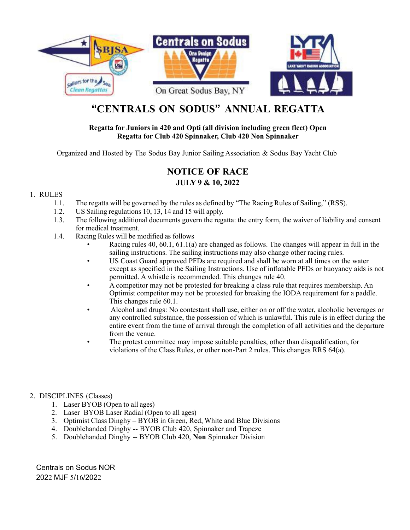

# **"CENTRALS ON SODUS" ANNUAL REGATTA**

#### **Regatta for Juniors in 420 and Opti (all division including green fleet) Open Regatta for Club 420 Spinnaker, Club 420 Non Spinnaker**

Organized and Hosted by The Sodus Bay Junior Sailing Association & Sodus Bay Yacht Club

# **NOTICE OF RACE JULY 9 & 10, 2022**

#### 1. RULES

- 1.1. The regatta will be governed by the rules as defined by "The Racing Rules of Sailing," (RSS).
- 1.2. US Sailing regulations 10, 13, 14 and 15 will apply.
- 1.3. The following additional documents govern the regatta: the entry form, the waiver of liability and consent for medical treatment.
- 1.4. Racing Rules will be modified as follows
	- Racing rules 40, 60.1, 61.1(a) are changed as follows. The changes will appear in full in the sailing instructions. The sailing instructions may also change other racing rules.
	- US Coast Guard approved PFDs are required and shall be worn at all times on the water except as specified in the Sailing Instructions. Use of inflatable PFDs or buoyancy aids is not permitted. A whistle is recommended. This changes rule 40.
	- A competitor may not be protested for breaking a class rule that requires membership. An Optimist competitor may not be protested for breaking the IODA requirement for a paddle. This changes rule 60.1.
	- Alcohol and drugs: No contestant shall use, either on or off the water, alcoholic beverages or any controlled substance, the possession of which is unlawful. This rule is in effect during the entire event from the time of arrival through the completion of all activities and the departure from the venue.
	- The protest committee may impose suitable penalties, other than disqualification, for violations of the Class Rules, or other non-Part 2 rules. This changes RRS 64(a).

## 2. DISCIPLINES (Classes)

- 1. Laser BYOB (Open to all ages)
- 2. Laser BYOB Laser Radial (Open to all ages)
- 3. Optimist Class Dinghy BYOB in Green, Red, White and Blue Divisions
- 4. Doublehanded Dinghy -- BYOB Club 420, Spinnaker and Trapeze
- 5. Doublehanded Dinghy -- BYOB Club 420, **Non** Spinnaker Division

Centrals on Sodus NOR 2022 MJF 5/16/2022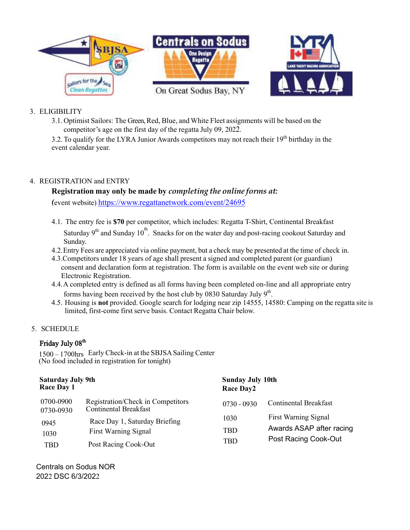

## 3. ELIGIBILITY

3.1. Optimist Sailors: The Green, Red, Blue, and White Fleet assignments will be based on the competitor's age on the first day of the regatta July 09, 2022.

3.2. To qualify for the LYRA Junior Awards competitors may not reach their  $19<sup>th</sup>$  birthday in the event calendar year.

## 4. REGISTRATION and ENTRY

## **Registration may only be made by** *completing the online forms at:*

*(*event website) <https://www.regattanetwork.com/event/24695>

4.1. The entry fee is **\$70** per competitor, which includes: Regatta T-Shirt, Continental Breakfast

Saturday 9<sup>th</sup> and Sunday 10<sup>th</sup>. Snacks for on the water day and post-racing cookout Saturday and Sunday.

- 4.2.Entry Fees are appreciated via online payment, but a check may be presented at the time of check in.
- 4.3.Competitors under 18 years of age shall present a signed and completed parent (or guardian) consent and declaration form at registration. The form is available on the event web site or during Electronic Registration.
- 4.4.A completed entry is defined as all forms having been completed on-line and all appropriate entry forms having been received by the host club by 0830 Saturday July  $9<sup>th</sup>$ .
- 4.5. Housing is **not** provided. Google search for lodging near zip 14555, 14580: Camping on the regatta site is limited, first-come first serve basis. Contact Regatta Chair below.

## 5. SCHEDULE

## Friday July 08<sup>th</sup>

1500 – 1700hrs Early Check-in at the SBJSA Sailing Center<br>(No food included in registration for tonight)

| <b>Saturday July 9th</b><br><b>Race Day 1</b> |                                                                   | <b>Sunday July 10th</b><br><b>Race Day2</b> |                                                                                 |
|-----------------------------------------------|-------------------------------------------------------------------|---------------------------------------------|---------------------------------------------------------------------------------|
| 0700-0900<br>0730-0930                        | Registration/Check in Competitors<br><b>Continental Breakfast</b> | $0730 - 0930$                               | <b>Continental Breakfast</b>                                                    |
| 0945<br>1030                                  | Race Day 1, Saturday Briefing<br><b>First Warning Signal</b>      | 1030<br>TBD                                 | <b>First Warning Signal</b><br>Awards ASAP after racing<br>Post Racing Cook-Out |
| TBD                                           | Post Racing Cook-Out                                              | <b>TBD</b>                                  |                                                                                 |

Centrals on Sodus NOR 2022 DSC 6/3/2022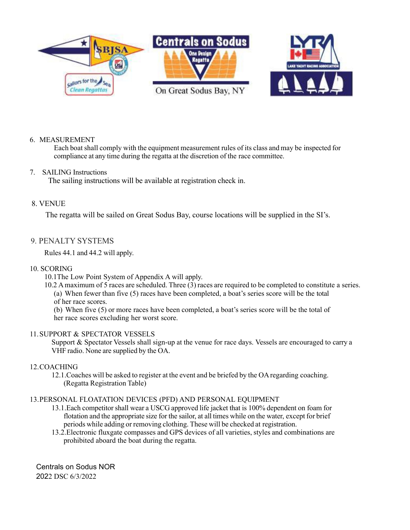

#### 6. MEASUREMENT

Each boat shall comply with the equipment measurement rules of its class and may be inspected for compliance at any time during the regatta at the discretion of the race committee.

#### 7. SAILING Instructions

The sailing instructions will be available at registration check in.

#### 8. VENUE

The regatta will be sailed on Great Sodus Bay, course locations will be supplied in the SI's.

#### 9. PENALTY SYSTEMS

Rules 44.1 and 44.2 will apply.

#### 10. SCORING

- 10.1The Low Point System of Appendix A will apply.
- 10.2 Amaximum of 5 races are scheduled. Three (3) races are required to be completed to constitute a series. (a) When fewer than five (5) races have been completed, a boat's series score will be the total of her race scores.
	- (b) When five (5) or more races have been completed, a boat's series score will be the total of her race scores excluding her worst score.

#### 11.SUPPORT & SPECTATOR VESSELS

Support & Spectator Vessels shall sign-up at the venue for race days. Vessels are encouraged to carry a VHF radio. None are supplied by the OA.

#### 12.COACHING

12.1.Coaches will be asked to register at the event and be briefed by the OAregarding coaching. (Regatta Registration Table)

#### 13.PERSONAL FLOATATION DEVICES (PFD) AND PERSONAL EQUIPMENT

- 13.1.Each competitor shall wear a USCG approved life jacket that is 100% dependent on foam for flotation and the appropriate size for the sailor, at all times while on the water, except for brief periods while adding or removing clothing. These will be checked at registration.
- 13.2.Electronic fluxgate compasses and GPS devices of all varieties, styles and combinations are prohibited aboard the boat during the regatta.

Centrals on Sodus NOR 2022 DSC 6/3/2022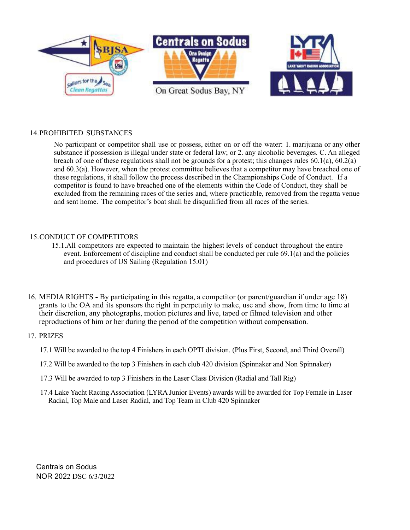

#### 14.PROHIBITED SUBSTANCES

No participant or competitor shall use or possess, either on or off the water: 1. marijuana or any other substance if possession is illegal under state or federal law; or 2. any alcoholic beverages. C. An alleged breach of one of these regulations shall not be grounds for a protest; this changes rules 60.1(a), 60.2(a) and 60.3(a). However, when the protest committee believes that a competitor may have breached one of these regulations, it shall follow the process described in the Championships Code of Conduct. If a competitor is found to have breached one of the elements within the Code of Conduct, they shall be excluded from the remaining races of the series and, where practicable, removed from the regatta venue and sent home. The competitor's boat shall be disqualified from all races of the series.

#### 15.CONDUCT OF COMPETITORS

- 15.1.All competitors are expected to maintain the highest levels of conduct throughout the entire event. Enforcement of discipline and conduct shall be conducted per rule 69.1(a) and the policies and procedures of US Sailing (Regulation 15.01)
- 16. MEDIA RIGHTS By participating in this regatta, a competitor (or parent/guardian if under age 18) grants to the OA and its sponsors the right in perpetuity to make, use and show, from time to time at their discretion, any photographs, motion pictures and live, taped or filmed television and other reproductions of him or her during the period of the competition without compensation.

#### 17. PRIZES

- 17.1 Will be awarded to the top 4 Finishers in each OPTI division. (Plus First, Second, and Third Overall)
- 17.2 Will be awarded to the top 3 Finishers in each club 420 division (Spinnaker and Non Spinnaker)
- 17.3 Will be awarded to top 3 Finishers in the Laser Class Division (Radial and Tall Rig)
- 17.4 Lake Yacht Racing Association (LYRA Junior Events) awards will be awarded for Top Female in Laser Radial, Top Male and Laser Radial, and Top Team in Club 420 Spinnaker

Centrals on Sodus NOR 2022 DSC 6/3/2022